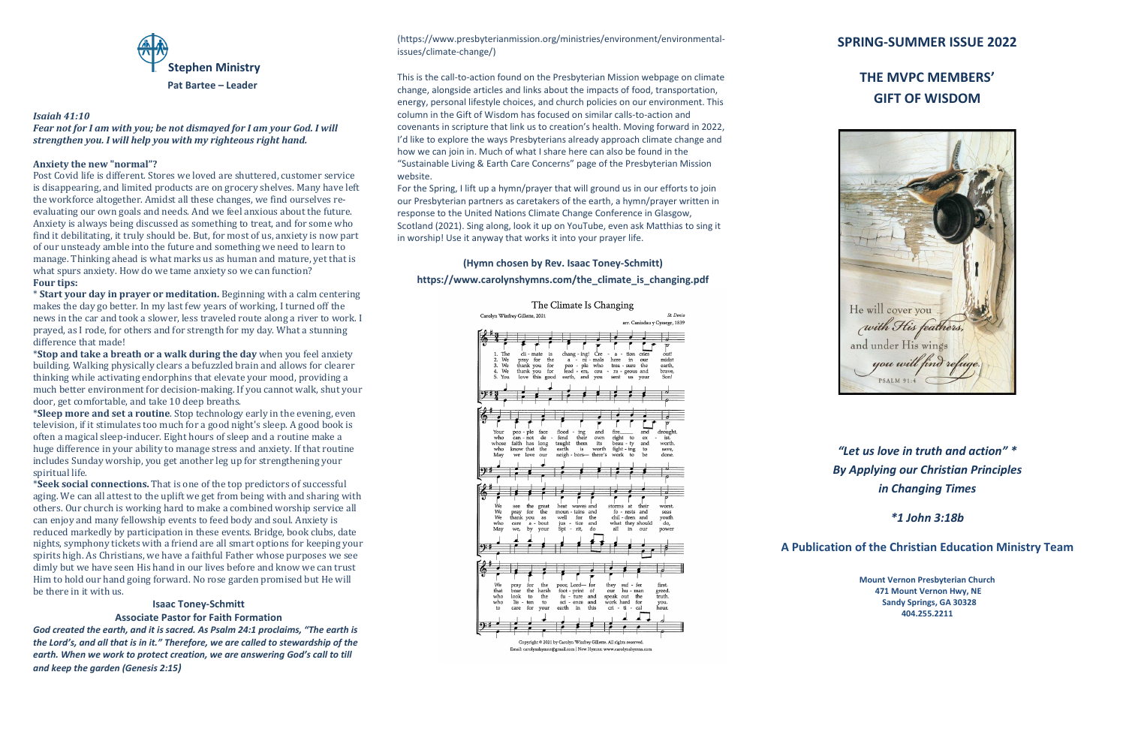

### *Isaiah 41:10*

*Fear not for I am with you; be not dismayed for I am your God. I will strengthen you. I will help you with my righteous right hand.*

## **Anxiety the new "normal"?**

Post Covid life is different. Stores we loved are shuttered, customer service is disappearing, and limited products are on grocery shelves. Many have left the workforce altogether. Amidst all these changes, we find ourselves reevaluating our own goals and needs. And we feel anxious about the future. Anxiety is always being discussed as something to treat, and for some who find it debilitating, it truly should be. But, for most of us, anxiety is now part of our unsteady amble into the future and something we need to learn to manage. Thinking ahead is what marks us as human and mature, yet that is what spurs anxiety. How do we tame anxiety so we can function? **Four tips:**

\* **Start your day in prayer or meditation.** Beginning with a calm centering makes the day go better. In my last few years of working, I turned off the news in the car and took a slower, less traveled route along a river to work. I prayed, as I rode, for others and for strength for my day. What a stunning difference that made!

\***Stop and take a breath or a walk during the day** when you feel anxiety building. Walking physically clears a befuzzled brain and allows for clearer thinking while activating endorphins that elevate your mood, providing a much better environment for decision-making. If you cannot walk, shut your door, get comfortable, and take 10 deep breaths.

\***Sleep more and set a routine**. Stop technology early in the evening, even television, if it stimulates too much for a good night's sleep. A good book is often a magical sleep-inducer. Eight hours of sleep and a routine make a huge difference in your ability to manage stress and anxiety. If that routine includes Sunday worship, you get another leg up for strengthening your spiritual life.

\***Seek social connections.** That is one of the top predictors of successful aging. We can all attest to the uplift we get from being with and sharing with others. Our church is working hard to make a combined worship service all can enjoy and many fellowship events to feed body and soul. Anxiety is reduced markedly by participation in these events. Bridge, book clubs, date nights, symphony tickets with a friend are all smart options for keeping your spirits high. As Christians, we have a faithful Father whose purposes we see dimly but we have seen His hand in our lives before and know we can trust Him to hold our hand going forward. No rose garden promised but He will be there in it with us.

#### **Isaac Toney-Schmitt**

### **Associate Pastor for Faith Formation**

*God created the earth, and it is sacred. As Psalm 24:1 proclaims, "The earth is the Lord's, and all that is in it." Therefore, we are called to stewardship of the earth. When we work to protect creation, we are answering God's call to till and keep the garden (Genesis 2:15)*

(https://www.presbyterianmission.org/ministries/environment/environmentalissues/climate-change/)

This is the call-to-action found on the Presbyterian Mission webpage on climate change, alongside articles and links about the impacts of food, transportation, energy, personal lifestyle choices, and church policies on our environment. This column in the Gift of Wisdom has focused on similar calls-to-action and covenants in scripture that link us to creation's health. Moving forward in 2022, I'd like to explore the ways Presbyterians already approach climate change and how we can join in. Much of what I share here can also be found in the "Sustainable Living & Earth Care Concerns" page of the Presbyterian Mission website.

For the Spring, I lift up a hymn/prayer that will ground us in our efforts to join our Presbyterian partners as caretakers of the earth, a hymn/prayer written in response to the United Nations Climate Change Conference in Glasgow, Scotland (2021). Sing along, look it up on YouTube, even ask Matthias to sing it in worship! Use it anyway that works it into your prayer life.

# **(Hymn chosen by Rev. Isaac Toney-Schmitt) https://www.carolynshymns.com/the\_climate\_is\_changing.pdf**



# **SPRING-SUMMER ISSUE 2022**

# **THE MVPC MEMBERS' GIFT OF WISDOM**

He will cover you with His feathers, and under His wings you will find refuge. **PSALM 91:4** 

*"Let us love in truth and action" \* By Applying our Christian Principles in Changing Times*

*\*1 John 3:18b*

**A Publication of the Christian Education Ministry Team**

**Mount Vernon Presbyterian Church 471 Mount Vernon Hwy, NE Sandy Springs, GA 30328 404.255.2211**